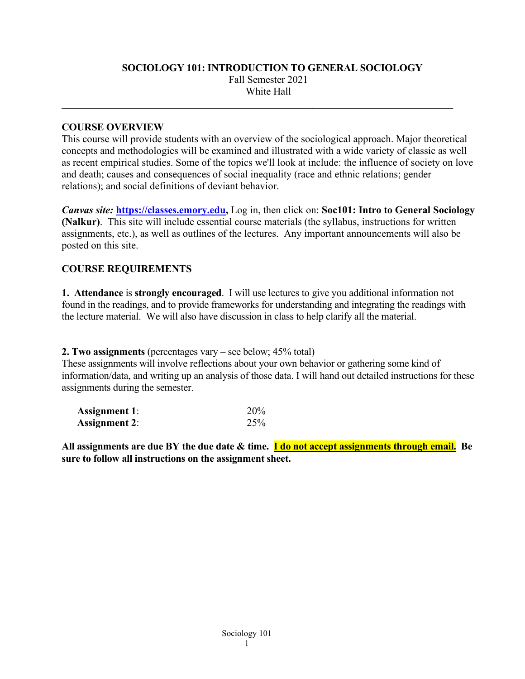# **SOCIOLOGY 101: INTRODUCTION TO GENERAL SOCIOLOGY** Fall Semester 2021 White Hall

\_\_\_\_\_\_\_\_\_\_\_\_\_\_\_\_\_\_\_\_\_\_\_\_\_\_\_\_\_\_\_\_\_\_\_\_\_\_\_\_\_\_\_\_\_\_\_\_\_\_\_\_\_\_\_\_\_\_\_\_\_\_\_\_\_\_\_\_\_\_\_\_\_\_\_\_\_\_

#### **COURSE OVERVIEW**

This course will provide students with an overview of the sociological approach. Major theoretical concepts and methodologies will be examined and illustrated with a wide variety of classic as well as recent empirical studies. Some of the topics we'll look at include: the influence of society on love and death; causes and consequences of social inequality (race and ethnic relations; gender relations); and social definitions of deviant behavior.

*Canvas site:* **[https://classes.emory.edu,](https://classes.emory.edu/)** Log in, then click on: **Soc101: Intro to General Sociology (Nalkur)**. This site will include essential course materials (the syllabus, instructions for written assignments, etc.), as well as outlines of the lectures. Any important announcements will also be posted on this site.

#### **COURSE REQUIREMENTS**

**1. Attendance** is **strongly encouraged**. I will use lectures to give you additional information not found in the readings, and to provide frameworks for understanding and integrating the readings with the lecture material. We will also have discussion in class to help clarify all the material.

**2. Two assignments** (percentages vary – see below; 45% total)

These assignments will involve reflections about your own behavior or gathering some kind of information/data, and writing up an analysis of those data. I will hand out detailed instructions for these assignments during the semester.

| <b>Assignment 1:</b> | 20% |
|----------------------|-----|
| <b>Assignment 2:</b> | 25% |

**All assignments are due BY the due date & time. I do not accept assignments through email. Be sure to follow all instructions on the assignment sheet.**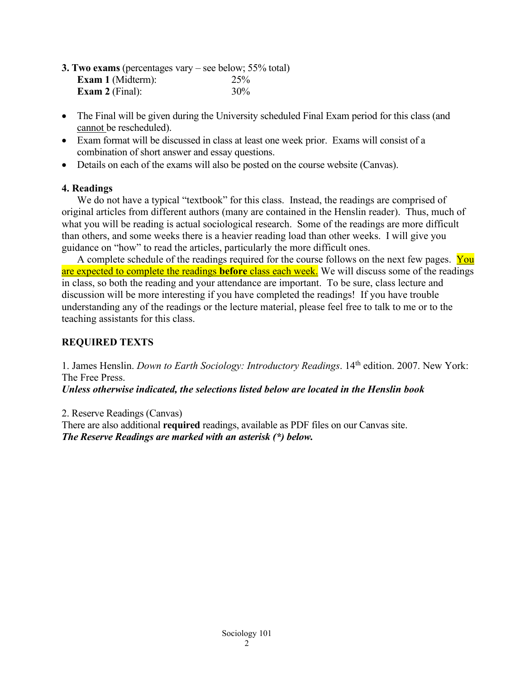| <b>3. Two exams</b> (percentages vary – see below; $55\%$ total) |     |
|------------------------------------------------------------------|-----|
| <b>Exam 1</b> (Midterm):                                         | 25% |
| <b>Exam 2</b> (Final):                                           | 30% |

- The Final will be given during the University scheduled Final Exam period for this class (and cannot be rescheduled).
- Exam format will be discussed in class at least one week prior. Exams will consist of a combination of short answer and essay questions.
- Details on each of the exams will also be posted on the course website (Canvas).

### **4. Readings**

We do not have a typical "textbook" for this class. Instead, the readings are comprised of original articles from different authors (many are contained in the Henslin reader). Thus, much of what you will be reading is actual sociological research. Some of the readings are more difficult than others, and some weeks there is a heavier reading load than other weeks. I will give you guidance on "how" to read the articles, particularly the more difficult ones.

A complete schedule of the readings required for the course follows on the next few pages. You are expected to complete the readings **before** class each week. We will discuss some of the readings in class, so both the reading and your attendance are important. To be sure, class lecture and discussion will be more interesting if you have completed the readings! If you have trouble understanding any of the readings or the lecture material, please feel free to talk to me or to the teaching assistants for this class.

# **REQUIRED TEXTS**

1. James Henslin. *Down to Earth Sociology: Introductory Readings*. 14th edition. 2007. New York: The Free Press.

*Unless otherwise indicated, the selections listed below are located in the Henslin book*

2. Reserve Readings (Canvas) There are also additional **required** readings, available as PDF files on our Canvas site. *The Reserve Readings are marked with an asterisk (\*) below.*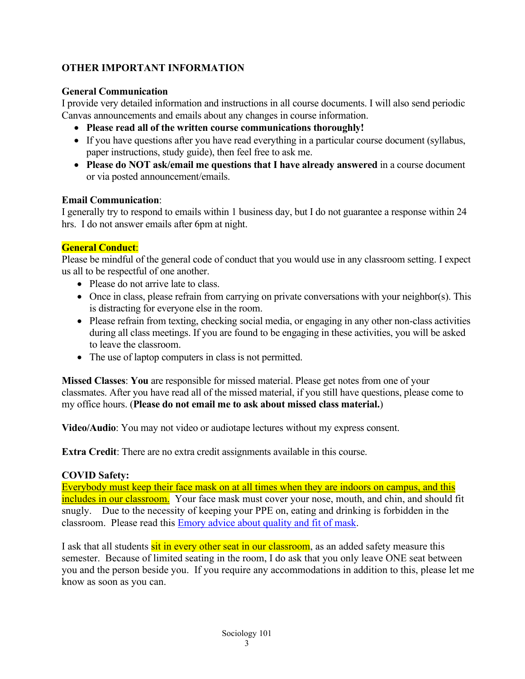# **OTHER IMPORTANT INFORMATION**

### **General Communication**

I provide very detailed information and instructions in all course documents. I will also send periodic Canvas announcements and emails about any changes in course information.

- **Please read all of the written course communications thoroughly!**
- If you have questions after you have read everything in a particular course document (syllabus, paper instructions, study guide), then feel free to ask me.
- **Please do NOT ask/email me questions that I have already answered** in a course document or via posted announcement/emails.

#### **Email Communication**:

I generally try to respond to emails within 1 business day, but I do not guarantee a response within 24 hrs. I do not answer emails after 6pm at night.

# **General Conduct**:

Please be mindful of the general code of conduct that you would use in any classroom setting. I expect us all to be respectful of one another.

- Please do not arrive late to class.
- Once in class, please refrain from carrying on private conversations with your neighbor(s). This is distracting for everyone else in the room.
- Please refrain from texting, checking social media, or engaging in any other non-class activities during all class meetings. If you are found to be engaging in these activities, you will be asked to leave the classroom.
- The use of laptop computers in class is not permitted.

**Missed Classes**: **You** are responsible for missed material. Please get notes from one of your classmates. After you have read all of the missed material, if you still have questions, please come to my office hours. (**Please do not email me to ask about missed class material.**)

**Video/Audio**: You may not video or audiotape lectures without my express consent.

**Extra Credit**: There are no extra credit assignments available in this course.

# **COVID Safety:**

Everybody must keep their face mask on at all times when they are indoors on campus, and this includes in our classroom. Your face mask must cover your nose, mouth, and chin, and should fit snugly. Due to the necessity of keeping your PPE on, eating and drinking is forbidden in the classroom. Please read this **Emory advice about quality and fit of mask**.

I ask that all students sit in every other seat in our classroom, as an added safety measure this semester. Because of limited seating in the room, I do ask that you only leave ONE seat between you and the person beside you. If you require any accommodations in addition to this, please let me know as soon as you can.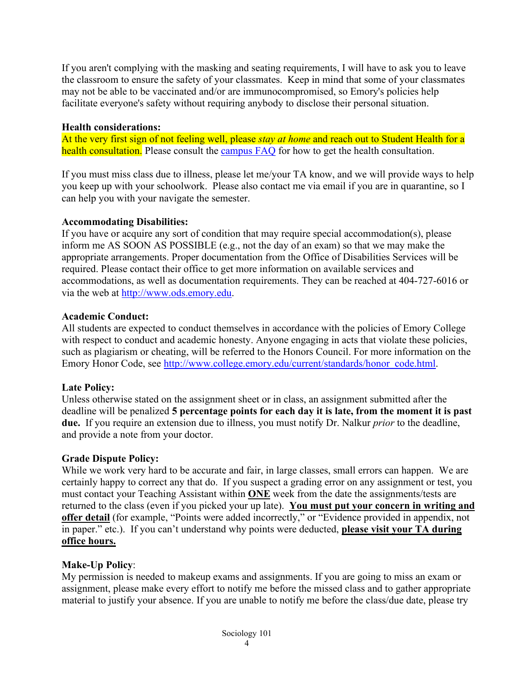If you aren't complying with the masking and seating requirements, I will have to ask you to leave the classroom to ensure the safety of your classmates. Keep in mind that some of your classmates may not be able to be vaccinated and/or are immunocompromised, so Emory's policies help facilitate everyone's safety without requiring anybody to disclose their personal situation.

### **Health considerations:**

At the very first sign of not feeling well, please *stay at home* and reach out to Student Health for a health consultation. Please consult the [campus](http://www.emory.edu/coronavirus/emory/faq/index.html#anchor-health) FAQ for how to get the health consultation.

If you must miss class due to illness, please let me/your TA know, and we will provide ways to help you keep up with your schoolwork. Please also contact me via email if you are in quarantine, so I can help you with your navigate the semester.

# **Accommodating Disabilities:**

If you have or acquire any sort of condition that may require special accommodation(s), please inform me AS SOON AS POSSIBLE (e.g., not the day of an exam) so that we may make the appropriate arrangements. Proper documentation from the Office of Disabilities Services will be required. Please contact their office to get more information on available services and accommodations, as well as documentation requirements. They can be reached at 404-727-6016 or via the web at [http://www.ods.emory.edu.](http://www.ods.emory.edu/)

### **Academic Conduct:**

All students are expected to conduct themselves in accordance with the policies of Emory College with respect to conduct and academic honesty. Anyone engaging in acts that violate these policies, such as plagiarism or cheating, will be referred to the Honors Council. For more information on the Emory Honor Code, see [http://www.college.emory.edu/current/standards/honor\\_code.html.](http://www.college.emory.edu/current/standards/honor_code.html)

# **Late Policy:**

Unless otherwise stated on the assignment sheet or in class, an assignment submitted after the deadline will be penalized **5 percentage points for each day it is late, from the moment it is past due.** If you require an extension due to illness, you must notify Dr. Nalkur *prior* to the deadline, and provide a note from your doctor.

# **Grade Dispute Policy:**

While we work very hard to be accurate and fair, in large classes, small errors can happen. We are certainly happy to correct any that do. If you suspect a grading error on any assignment or test, you must contact your Teaching Assistant within **ONE** week from the date the assignments/tests are returned to the class (even if you picked your up late). **You must put your concern in writing and offer detail** (for example, "Points were added incorrectly," or "Evidence provided in appendix, not in paper." etc.). If you can't understand why points were deducted, **please visit your TA during office hours.**

# **Make-Up Policy**:

My permission is needed to makeup exams and assignments. If you are going to miss an exam or assignment, please make every effort to notify me before the missed class and to gather appropriate material to justify your absence. If you are unable to notify me before the class/due date, please try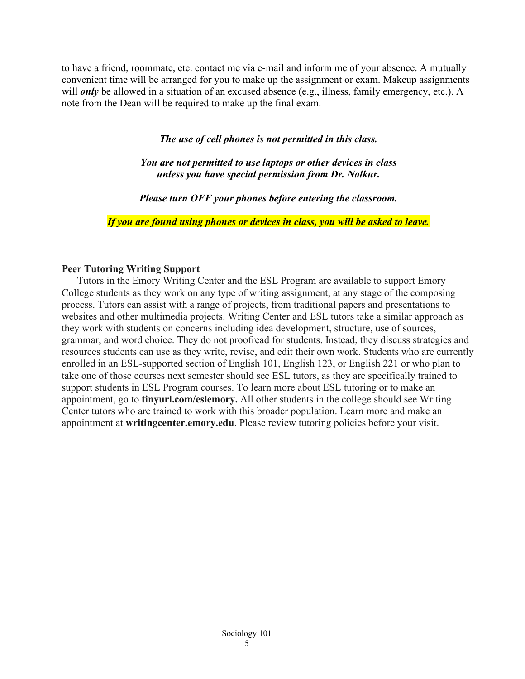to have a friend, roommate, etc. contact me via e-mail and inform me of your absence. A mutually convenient time will be arranged for you to make up the assignment or exam. Makeup assignments will *only* be allowed in a situation of an excused absence (e.g., illness, family emergency, etc.). A note from the Dean will be required to make up the final exam.

#### *The use of cell phones is not permitted in this class.*

*You are not permitted to use laptops or other devices in class unless you have special permission from Dr. Nalkur.*

*Please turn OFF your phones before entering the classroom.*

*If you are found using phones or devices in class, you will be asked to leave.*

#### **Peer Tutoring Writing Support**

Tutors in the Emory Writing Center and the ESL Program are available to support Emory College students as they work on any type of writing assignment, at any stage of the composing process. Tutors can assist with a range of projects, from traditional papers and presentations to websites and other multimedia projects. Writing Center and ESL tutors take a similar approach as they work with students on concerns including idea development, structure, use of sources, grammar, and word choice. They do not proofread for students. Instead, they discuss strategies and resources students can use as they write, revise, and edit their own work. Students who are currently enrolled in an ESL-supported section of English 101, English 123, or English 221 or who plan to take one of those courses next semester should see ESL tutors, as they are specifically trained to support students in ESL Program courses. To learn more about ESL tutoring or to make an appointment, go to **tinyurl.com/eslemory.** All other students in the college should see Writing Center tutors who are trained to work with this broader population. Learn more and make an appointment at **writingcenter.emory.edu**. Please review tutoring policies before your visit.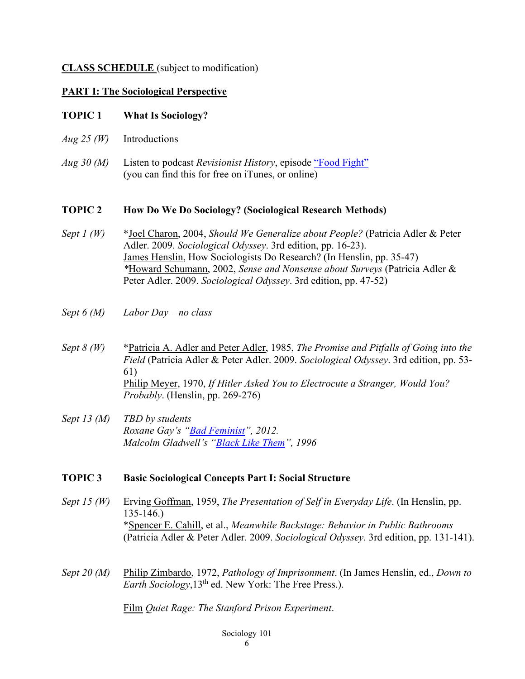#### **CLASS SCHEDULE** (subject to modification)

### **PART I: The Sociological Perspective**

### **TOPIC 1 What Is Sociology?**

- *Aug 25 (W)* Introductions
- *Aug 30 (M)* Listen to podcast *Revisionist History*, episode ["Food Fight"](https://podcasts.apple.com/us/podcast/food-fight/id1119389968?i=1000372453199) (you can find this for free on iTunes, or online)

#### **TOPIC 2 How Do We Do Sociology? (Sociological Research Methods)**

- *Sept 1 (W)* \*Joel Charon, 2004, *Should We Generalize about People?* (Patricia Adler & Peter Adler. 2009. *Sociological Odyssey*. 3rd edition, pp. 16-23). James Henslin, How Sociologists Do Research? (In Henslin, pp. 35-47) *\**Howard Schumann, 2002, *Sense and Nonsense about Surveys* (Patricia Adler & Peter Adler. 2009. *Sociological Odyssey*. 3rd edition, pp. 47-52)
- *Sept 6 (M) Labor Day – no class*
- *Sept 8 (W)* \*Patricia A. Adler and Peter Adler, 1985, *The Promise and Pitfalls of Going into the Field* (Patricia Adler & Peter Adler. 2009. *Sociological Odyssey*. 3rd edition, pp. 53- 61) Philip Meyer, 1970, *If Hitler Asked You to Electrocute a Stranger, Would You? Probably*. (Henslin, pp. 269-276)
- *Sept 13 (M) TBD by students Roxane Gay's ["Bad Feminist"](https://www.vqronline.org/essay/bad-feminist), 2012. Malcolm Gladwell's ["Black Like Them"](https://www.newyorker.com/magazine/1996/04/29/black-like-them), 1996*

# **TOPIC 3 Basic Sociological Concepts Part I: Social Structure**

- *Sept 15 (W)* Erving Goffman, 1959, *The Presentation of Self in Everyday Life*. (In Henslin, pp. 135-146.) \*Spencer E. Cahill, et al., *Meanwhile Backstage: Behavior in Public Bathrooms*  (Patricia Adler & Peter Adler. 2009. *Sociological Odyssey*. 3rd edition, pp. 131-141).
- *Sept 20 (M)* Philip Zimbardo, 1972, *Pathology of Imprisonment*. (In James Henslin, ed., *Down to Earth Sociology*,13th ed. New York: The Free Press.).

Film *Quiet Rage: The Stanford Prison Experiment*.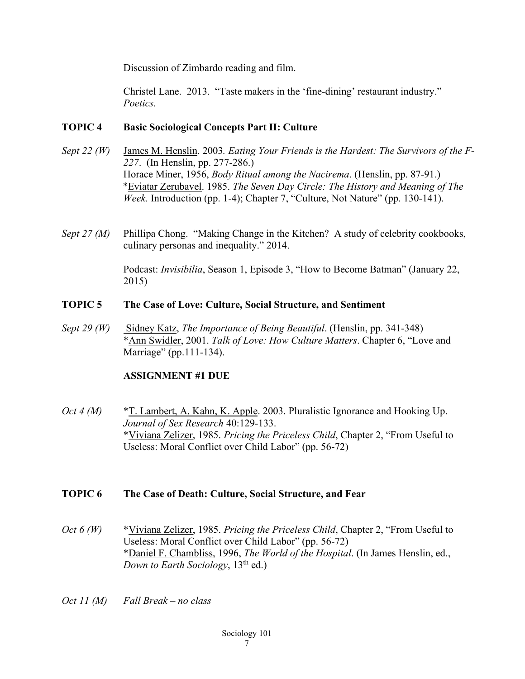Discussion of Zimbardo reading and film.

Christel Lane. 2013. "Taste makers in the 'fine-dining' restaurant industry." *Poetics.*

### **TOPIC 4 Basic Sociological Concepts Part II: Culture**

- *Sept 22 (W)* James M. Henslin. 2003*. Eating Your Friends is the Hardest: The Survivors of the F-227*. (In Henslin, pp. 277-286.) Horace Miner, 1956, *Body Ritual among the Nacirema*. (Henslin, pp. 87-91.) \*Eviatar Zerubavel. 1985. *The Seven Day Circle: The History and Meaning of The Week.* Introduction (pp. 1-4); Chapter 7, "Culture, Not Nature" (pp. 130-141).
- *Sept 27 (M)* Phillipa Chong. "Making Change in the Kitchen? A study of celebrity cookbooks, culinary personas and inequality." 2014.

Podcast: *Invisibilia*, Season 1, Episode 3, "How to Become Batman" (January 22, 2015)

#### **TOPIC 5 The Case of Love: Culture, Social Structure, and Sentiment**

*Sept 29 (W)* Sidney Katz, *The Importance of Being Beautiful*. (Henslin, pp. 341-348) \*Ann Swidler, 2001. *Talk of Love: How Culture Matters*. Chapter 6, "Love and Marriage" (pp.111-134).

# **ASSIGNMENT #1 DUE**

*Oct 4 (M)* \*T. Lambert, A. Kahn, K. Apple. 2003. Pluralistic Ignorance and Hooking Up. *Journal of Sex Research* 40:129-133. \*Viviana Zelizer, 1985. *Pricing the Priceless Child*, Chapter 2, "From Useful to Useless: Moral Conflict over Child Labor" (pp. 56-72)

#### **TOPIC 6 The Case of Death: Culture, Social Structure, and Fear**

- *Oct 6 (W)* \*Viviana Zelizer, 1985. *Pricing the Priceless Child*, Chapter 2, "From Useful to Useless: Moral Conflict over Child Labor" (pp. 56-72) \*Daniel F. Chambliss, 1996, *The World of the Hospital*. (In James Henslin, ed., *Down to Earth Sociology*, 13<sup>th</sup> ed.)
- *Oct 11 (M) Fall Break – no class*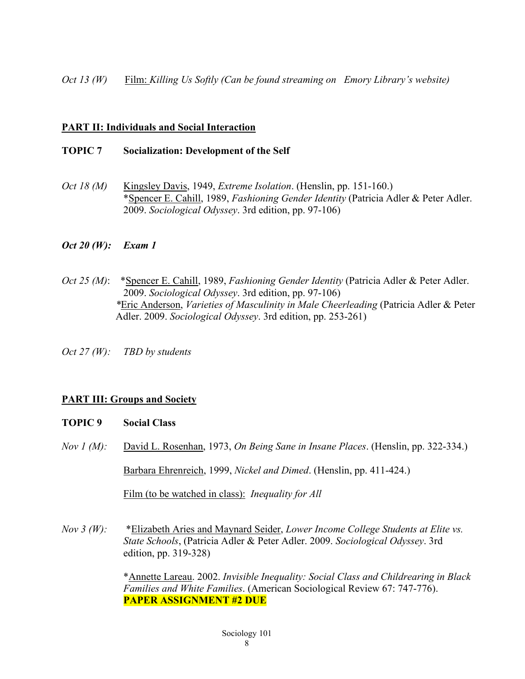*Oct 13 (W)* Film: *Killing Us Softly (Can be found streaming on Emory Library's website)*

#### **PART II: Individuals and Social Interaction**

#### **TOPIC 7 Socialization: Development of the Self**

*Oct 18 (M)* Kingsley Davis, 1949, *Extreme Isolation*. (Henslin, pp. 151-160.) \*Spencer E. Cahill, 1989, *Fashioning Gender Identity* (Patricia Adler & Peter Adler. 2009. *Sociological Odyssey*. 3rd edition, pp. 97-106)

### *Oct 20 (W): Exam 1*

- *Oct 25 (M)*: \*Spencer E. Cahill, 1989, *Fashioning Gender Identity* (Patricia Adler & Peter Adler. 2009. *Sociological Odyssey*. 3rd edition, pp. 97-106) *\**Eric Anderson, *Varieties of Masculinity in Male Cheerleading* (Patricia Adler & Peter Adler. 2009. *Sociological Odyssey*. 3rd edition, pp. 253-261)
- *Oct 27 (W): TBD by students*

# **PART III: Groups and Society**

#### **TOPIC 9 Social Class**

*Nov 1 (M):* David L. Rosenhan, 1973, *On Being Sane in Insane Places*. (Henslin, pp. 322-334.)

Barbara Ehrenreich, 1999, *Nickel and Dimed*. (Henslin, pp. 411-424.)

Film (to be watched in class): *Inequality for All*

*Nov 3 (W):* \*Elizabeth Aries and Maynard Seider, *Lower Income College Students at Elite vs. State Schools*, (Patricia Adler & Peter Adler. 2009. *Sociological Odyssey*. 3rd edition, pp. 319-328)

> \*Annette Lareau. 2002. *Invisible Inequality: Social Class and Childrearing in Black Families and White Families*. (American Sociological Review 67: 747-776). **PAPER ASSIGNMENT #2 DUE**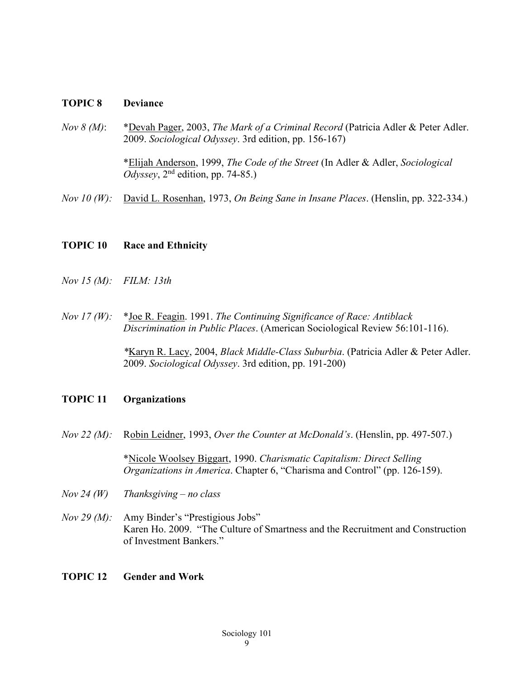#### **TOPIC 8 Deviance**

- *Nov 8 (M)*: \*Devah Pager, 2003, *The Mark of a Criminal Record* (Patricia Adler & Peter Adler. 2009. *Sociological Odyssey*. 3rd edition, pp. 156-167) \*Elijah Anderson, 1999, *The Code of the Street* (In Adler & Adler, *Sociological Odyssey*, 2nd edition, pp. 74-85.)
- *Nov 10 (W):* David L. Rosenhan, 1973, *On Being Sane in Insane Places*. (Henslin, pp. 322-334.)

#### **TOPIC 10 Race and Ethnicity**

- *Nov 15 (M): FILM: 13th*
- *Nov 17 (W):* \*Joe R. Feagin. 1991. *The Continuing Significance of Race: Antiblack Discrimination in Public Places*. (American Sociological Review 56:101-116).

*\**Karyn R. Lacy, 2004, *Black Middle-Class Suburbia*. (Patricia Adler & Peter Adler. 2009. *Sociological Odyssey*. 3rd edition, pp. 191-200)

#### **TOPIC 11 Organizations**

*Nov 22 (M):* Robin Leidner, 1993, *Over the Counter at McDonald's*. (Henslin, pp. 497-507.)

\*Nicole Woolsey Biggart, 1990. *Charismatic Capitalism: Direct Selling Organizations in America*. Chapter 6, "Charisma and Control" (pp. 126-159).

- *Nov 24 (W) Thanksgiving – no class*
- *Nov 29 (M):* Amy Binder's "Prestigious Jobs" Karen Ho. 2009. "The Culture of Smartness and the Recruitment and Construction of Investment Bankers."

#### **TOPIC 12 Gender and Work**